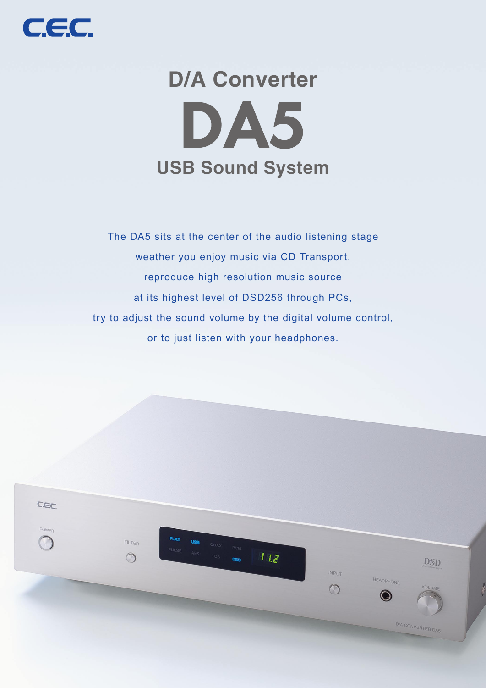

# **5DA D/A Converter USB Sound System**

The DA5 sits at the center of the audio listening stage weather you enjoy music via CD Transport, reproduce high resolution music source at its highest level of DSD256 through PCs, try to adjust the sound volume by the digital volume control, or to just listen with your headphones.